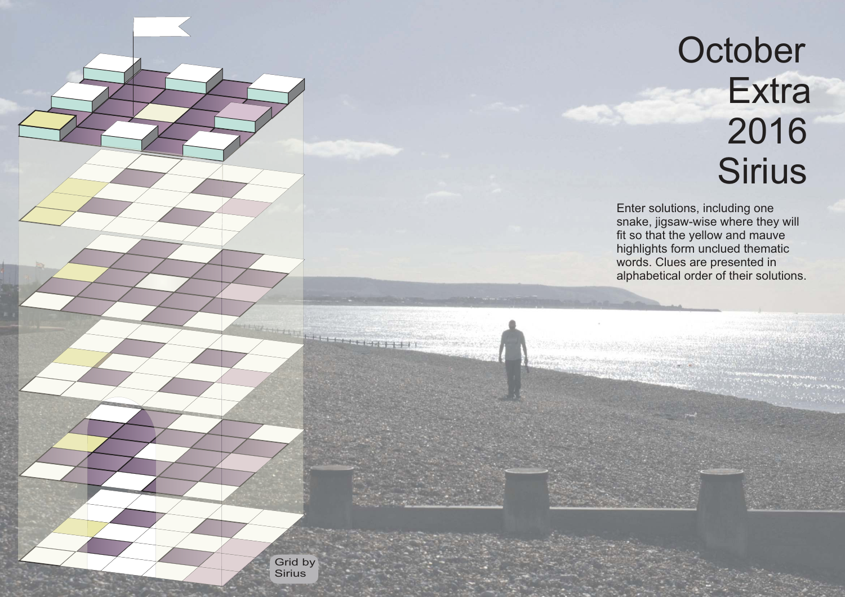## **October Extra**  2016 **Sirius**

Enter solutions, including one snake, jigsaw-wise where they will fit so that the yellow and mauve highlights form unclued thematic words. Clues are presented in alphabetical order of their solutions.

Grid by **Sirius** 

Hermanning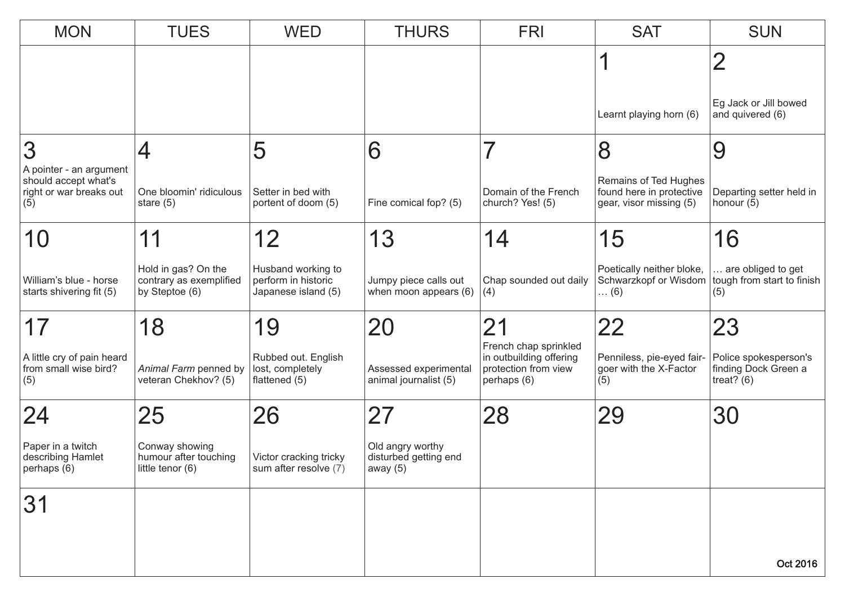| <b>MON</b>                                                 | <b>TUES</b>                                                      | <b>WED</b>                                                       | <b>THURS</b>                                           | <b>FRI</b>                                                                              | <b>SAT</b>                                                 | <b>SUN</b>                                                                      |  |
|------------------------------------------------------------|------------------------------------------------------------------|------------------------------------------------------------------|--------------------------------------------------------|-----------------------------------------------------------------------------------------|------------------------------------------------------------|---------------------------------------------------------------------------------|--|
|                                                            |                                                                  |                                                                  |                                                        |                                                                                         |                                                            | $\overline{2}$                                                                  |  |
|                                                            |                                                                  |                                                                  |                                                        |                                                                                         |                                                            |                                                                                 |  |
|                                                            |                                                                  |                                                                  |                                                        |                                                                                         | Learnt playing horn (6)                                    | Eg Jack or Jill bowed<br>and quivered (6)                                       |  |
| 3                                                          | 4                                                                | 5                                                                | 6                                                      | $\overline{\mathbf{z}}$                                                                 | 8                                                          | 9                                                                               |  |
| A pointer - an argument<br>should accept what's            |                                                                  |                                                                  |                                                        |                                                                                         | Remains of Ted Hughes                                      |                                                                                 |  |
| right or war breaks out<br>(5)                             | One bloomin' ridiculous<br>stare $(5)$                           | Setter in bed with<br>portent of doom (5)                        | Fine comical fop? (5)                                  | Domain of the French<br>church? Yes! (5)                                                | found here in protective<br>gear, visor missing (5)        | Departing setter held in<br>honour (5)                                          |  |
| 10                                                         | 11                                                               | 12                                                               | 13                                                     | 14                                                                                      | 15                                                         | 16                                                                              |  |
| William's blue - horse<br>starts shivering fit (5)         | Hold in gas? On the<br>contrary as exemplified<br>by Steptoe (6) | Husband working to<br>perform in historic<br>Japanese island (5) | Jumpy piece calls out<br>when moon appears (6)         | Chap sounded out daily<br>(4)                                                           | Poetically neither bloke,<br>$\dots (6)$                   | are obliged to get<br>Schwarzkopf or Wisdom   tough from start to finish<br>(5) |  |
| 17                                                         | 18                                                               | 19                                                               | 20                                                     | 21                                                                                      | 22                                                         | 23                                                                              |  |
| A little cry of pain heard<br>from small wise bird?<br>(5) | Animal Farm penned by<br>veteran Chekhov? (5)                    | Rubbed out. English<br>lost, completely<br>flattened (5)         | Assessed experimental<br>animal journalist (5)         | French chap sprinkled<br>in outbuilding offering<br>protection from view<br>perhaps (6) | Penniless, pie-eyed fair-<br>goer with the X-Factor<br>(5) | Police spokesperson's<br>finding Dock Green a<br>treat? $(6)$                   |  |
| 24                                                         | 25                                                               | 26                                                               | 27                                                     | 28                                                                                      | 29                                                         | 30                                                                              |  |
| Paper in a twitch<br>describing Hamlet<br> perhaps (6)     | Conway showing<br>humour after touching<br>little tenor (6)      | Victor cracking tricky<br>sum after resolve (7)                  | Old angry worthy<br>disturbed getting end<br> away (5) |                                                                                         |                                                            |                                                                                 |  |
| 31                                                         |                                                                  |                                                                  |                                                        |                                                                                         |                                                            |                                                                                 |  |
|                                                            |                                                                  |                                                                  |                                                        |                                                                                         |                                                            |                                                                                 |  |
|                                                            |                                                                  |                                                                  |                                                        |                                                                                         |                                                            | Oct 2016                                                                        |  |